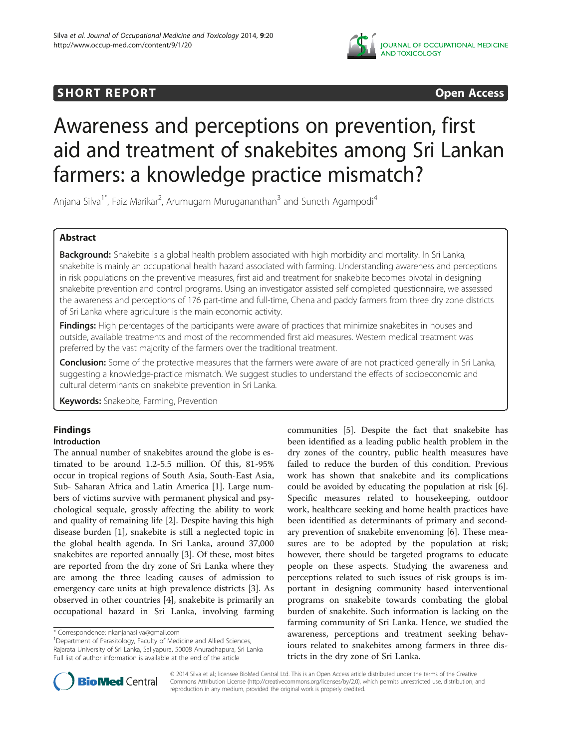

## **SHORT REPORT CONSUMING THE OPEN ACCESS**

# Awareness and perceptions on prevention, first aid and treatment of snakebites among Sri Lankan farmers: a knowledge practice mismatch?

Anjana Silva<sup>1\*</sup>, Faiz Marikar<sup>2</sup>, Arumugam Murugananthan<sup>3</sup> and Suneth Agampodi<sup>4</sup>

## Abstract

Background: Snakebite is a global health problem associated with high morbidity and mortality. In Sri Lanka, snakebite is mainly an occupational health hazard associated with farming. Understanding awareness and perceptions in risk populations on the preventive measures, first aid and treatment for snakebite becomes pivotal in designing snakebite prevention and control programs. Using an investigator assisted self completed questionnaire, we assessed the awareness and perceptions of 176 part-time and full-time, Chena and paddy farmers from three dry zone districts of Sri Lanka where agriculture is the main economic activity.

Findings: High percentages of the participants were aware of practices that minimize snakebites in houses and outside, available treatments and most of the recommended first aid measures. Western medical treatment was preferred by the vast majority of the farmers over the traditional treatment.

Conclusion: Some of the protective measures that the farmers were aware of are not practiced generally in Sri Lanka, suggesting a knowledge-practice mismatch. We suggest studies to understand the effects of socioeconomic and cultural determinants on snakebite prevention in Sri Lanka.

**Keywords:** Snakebite, Farming, Prevention

## Findings

### Introduction

The annual number of snakebites around the globe is estimated to be around 1.2-5.5 million. Of this, 81-95% occur in tropical regions of South Asia, South-East Asia, Sub- Saharan Africa and Latin America [1]. Large numbers of victims survive with permanent physical and psychological sequale, grossly affecting the ability to work and quality of remaining life [2]. Despite having this high disease burden [1], snakebite is still a neglected topic in the global health agenda. In Sri Lanka, around 37,000 snakebites are reported annually [3]. Of these, most bites are reported from the dry zone of Sri Lanka where they are among the three leading causes of admission to emergency care units at high prevalence districts [3]. As observed in other countries [4], snakebite is primarily an occupational hazard in Sri Lanka, involving farming

<sup>1</sup>Department of Parasitology, Faculty of Medicine and Allied Sciences, Rajarata University of Sri Lanka, Saliyapura, 50008 Anuradhapura, Sri Lanka Full list of author information is available at the end of the article

communities [5]. Despite the fact that snakebite has been identified as a leading public health problem in the dry zones of the country, public health measures have failed to reduce the burden of this condition. Previous work has shown that snakebite and its complications could be avoided by educating the population at risk [6]. Specific measures related to housekeeping, outdoor work, healthcare seeking and home health practices have been identified as determinants of primary and secondary prevention of snakebite envenoming [6]. These measures are to be adopted by the population at risk; however, there should be targeted programs to educate people on these aspects. Studying the awareness and perceptions related to such issues of risk groups is important in designing community based interventional programs on snakebite towards combating the global burden of snakebite. Such information is lacking on the farming community of Sri Lanka. Hence, we studied the awareness, perceptions and treatment seeking behaviours related to snakebites among farmers in three districts in the dry zone of Sri Lanka.



© 2014 Silva et al.; licensee BioMed Central Ltd. This is an Open Access article distributed under the terms of the Creative Commons Attribution License (http://creativecommons.org/licenses/by/2.0), which permits unrestricted use, distribution, and reproduction in any medium, provided the original work is properly credited.

<sup>\*</sup> Correspondence: nkanjanasilva@gmail.com <sup>1</sup>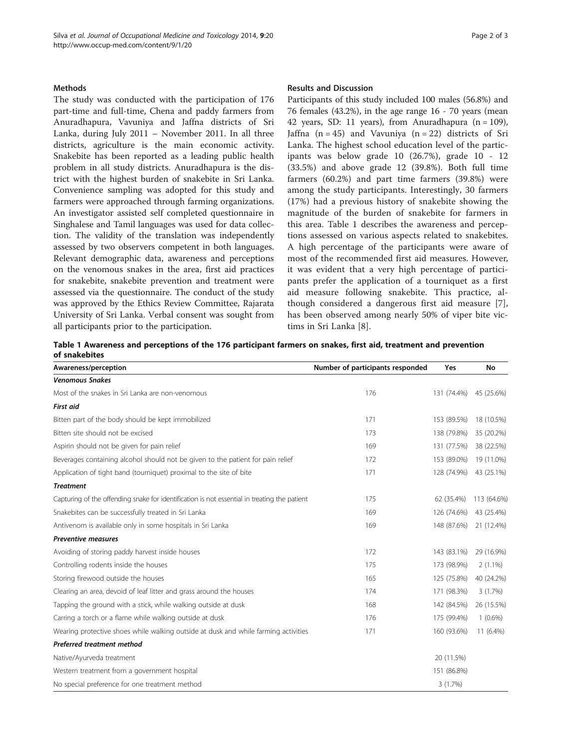#### **Methods**

The study was conducted with the participation of 176 part-time and full-time, Chena and paddy farmers from Anuradhapura, Vavuniya and Jaffna districts of Sri Lanka, during July 2011 – November 2011. In all three districts, agriculture is the main economic activity. Snakebite has been reported as a leading public health problem in all study districts. Anuradhapura is the district with the highest burden of snakebite in Sri Lanka. Convenience sampling was adopted for this study and farmers were approached through farming organizations. An investigator assisted self completed questionnaire in Singhalese and Tamil languages was used for data collection. The validity of the translation was independently assessed by two observers competent in both languages. Relevant demographic data, awareness and perceptions on the venomous snakes in the area, first aid practices for snakebite, snakebite prevention and treatment were assessed via the questionnaire. The conduct of the study was approved by the Ethics Review Committee, Rajarata University of Sri Lanka. Verbal consent was sought from all participants prior to the participation.

#### Results and Discussion

Participants of this study included 100 males (56.8%) and 76 females (43.2%), in the age range 16 - 70 years (mean 42 years, SD: 11 years), from Anuradhapura  $(n = 109)$ , Jaffna  $(n = 45)$  and Vavuniya  $(n = 22)$  districts of Sri Lanka. The highest school education level of the participants was below grade 10 (26.7%), grade 10 - 12 (33.5%) and above grade 12 (39.8%). Both full time farmers (60.2%) and part time farmers (39.8%) were among the study participants. Interestingly, 30 farmers (17%) had a previous history of snakebite showing the magnitude of the burden of snakebite for farmers in this area. Table 1 describes the awareness and perceptions assessed on various aspects related to snakebites. A high percentage of the participants were aware of most of the recommended first aid measures. However, it was evident that a very high percentage of participants prefer the application of a tourniquet as a first aid measure following snakebite. This practice, although considered a dangerous first aid measure [7], has been observed among nearly 50% of viper bite victims in Sri Lanka [8].

Table 1 Awareness and perceptions of the 176 participant farmers on snakes, first aid, treatment and prevention of snakebites

| Awareness/perception                                                                         | Number of participants responded | <b>Yes</b>  | No          |
|----------------------------------------------------------------------------------------------|----------------------------------|-------------|-------------|
| <b>Venomous Snakes</b>                                                                       |                                  |             |             |
| Most of the snakes in Sri Lanka are non-venomous                                             | 176                              | 131 (74.4%) | 45 (25.6%)  |
| <b>First aid</b>                                                                             |                                  |             |             |
| Bitten part of the body should be kept immobilized                                           | 171                              | 153 (89.5%) | 18 (10.5%)  |
| Bitten site should not be excised                                                            | 173                              | 138 (79.8%) | 35 (20.2%)  |
| Aspirin should not be given for pain relief                                                  | 169                              | 131 (77.5%) | 38 (22.5%)  |
| Beverages containing alcohol should not be given to the patient for pain relief              | 172                              | 153 (89.0%) | 19 (11.0%)  |
| Application of tight band (tourniquet) proximal to the site of bite                          | 171                              | 128 (74.9%) | 43 (25.1%)  |
| <b>Treatment</b>                                                                             |                                  |             |             |
| Capturing of the offending snake for identification is not essential in treating the patient | 175                              | 62 (35.4%)  | 113 (64.6%) |
| Snakebites can be successfully treated in Sri Lanka                                          | 169                              | 126 (74.6%) | 43 (25.4%)  |
| Antivenom is available only in some hospitals in Sri Lanka                                   | 169                              | 148 (87.6%) | 21 (12.4%)  |
| <b>Preventive measures</b>                                                                   |                                  |             |             |
| Avoiding of storing paddy harvest inside houses                                              | 172                              | 143 (83.1%) | 29 (16.9%)  |
| Controlling rodents inside the houses                                                        | 175                              | 173 (98.9%) | $2(1.1\%)$  |
| Storing firewood outside the houses                                                          | 165                              | 125 (75.8%) | 40 (24.2%)  |
| Clearing an area, devoid of leaf litter and grass around the houses                          | 174                              | 171 (98.3%) | 3(1.7%)     |
| Tapping the ground with a stick, while walking outside at dusk                               | 168                              | 142 (84.5%) | 26 (15.5%)  |
| Carring a torch or a flame while walking outside at dusk                                     | 176                              | 175 (99.4%) | $1(0.6\%)$  |
| Wearing protective shoes while walking outside at dusk and while farming activities          | 171                              | 160 (93.6%) | 11 (6.4%)   |
| Preferred treatment method                                                                   |                                  |             |             |
| Native/Ayurveda treatment                                                                    |                                  | 20 (11.5%)  |             |
| Western treatment from a government hospital                                                 |                                  | 151 (86.8%) |             |
| No special preference for one treatment method                                               |                                  | 3(1.7%)     |             |